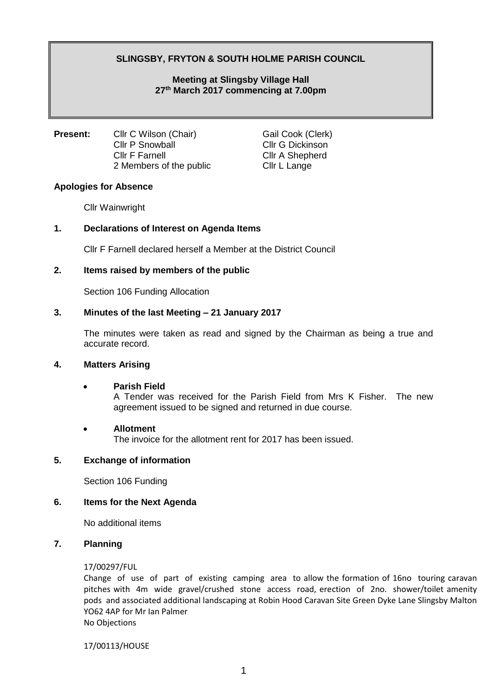# **SLINGSBY, FRYTON & SOUTH HOLME PARISH COUNCIL**

## **Meeting at Slingsby Village Hall 27 th March 2017 commencing at 7.00pm**

**Present:** Cllr C Wilson (Chair) Gail Cook (Clerk) Cllr P Snowball Cllr G Dickinson Cllr F Farnell Cllr A Shepherd 2 Members of the public Cllr L Lange

#### **Apologies for Absence**

Cllr Wainwright

## **1. Declarations of Interest on Agenda Items**

Cllr F Farnell declared herself a Member at the District Council

## **2. Items raised by members of the public**

Section 106 Funding Allocation

## **3. Minutes of the last Meeting – 21 January 2017**

The minutes were taken as read and signed by the Chairman as being a true and accurate record.

#### **4. Matters Arising**

#### • **Parish Field**

A Tender was received for the Parish Field from Mrs K Fisher. The new agreement issued to be signed and returned in due course.

#### • **Allotment**

The invoice for the allotment rent for 2017 has been issued.

## **5. Exchange of information**

Section 106 Funding

#### **6. Items for the Next Agenda**

No additional items

#### **7. Planning**

#### 17/00297/FUL

Change of use of part of existing camping area to allow the formation of 16no touring caravan pitches with 4m wide gravel/crushed stone access road, erection of 2no. shower/toilet amenity pods and associated additional landscaping at Robin Hood Caravan Site Green Dyke Lane Slingsby Malton YO62 4AP for Mr Ian Palmer No Objections

17/00113/HOUSE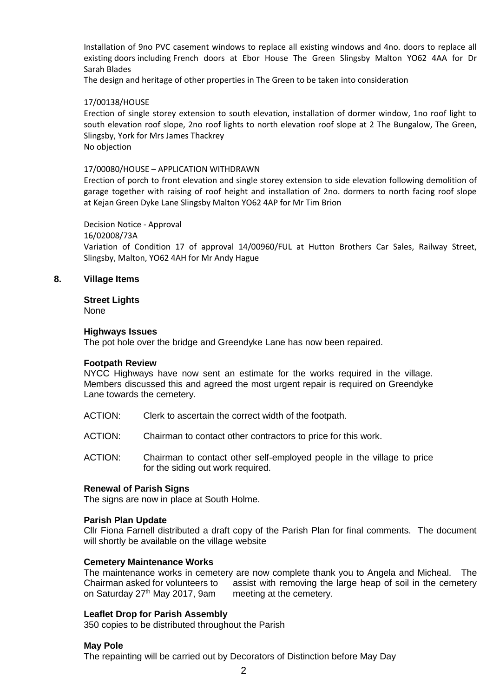Installation of 9no PVC casement windows to replace all existing windows and 4no. doors to replace all existing doors including French doors at Ebor House The Green Slingsby Malton YO62 4AA for Dr Sarah Blades

The design and heritage of other properties in The Green to be taken into consideration

#### 17/00138/HOUSE

Erection of single storey extension to south elevation, installation of dormer window, 1no roof light to south elevation roof slope, 2no roof lights to north elevation roof slope at 2 The Bungalow, The Green, Slingsby, York for Mrs James Thackrey No objection

#### 17/00080/HOUSE – APPLICATION WITHDRAWN

Erection of porch to front elevation and single storey extension to side elevation following demolition of garage together with raising of roof height and installation of 2no. dormers to north facing roof slope at Kejan Green Dyke Lane Slingsby Malton YO62 4AP for Mr Tim Brion

#### Decision Notice - Approval

16/02008/73A

Variation of Condition 17 of approval 14/00960/FUL at Hutton Brothers Car Sales, Railway Street, Slingsby, Malton, YO62 4AH for Mr Andy Hague

## **8. Village Items**

#### **Street Lights**

None

#### **Highways Issues**

The pot hole over the bridge and Greendyke Lane has now been repaired.

#### **Footpath Review**

NYCC Highways have now sent an estimate for the works required in the village. Members discussed this and agreed the most urgent repair is required on Greendyke Lane towards the cemetery.

- ACTION: Clerk to ascertain the correct width of the footpath.
- ACTION: Chairman to contact other contractors to price for this work.
- ACTION: Chairman to contact other self-employed people in the village to price for the siding out work required.

#### **Renewal of Parish Signs**

The signs are now in place at South Holme.

#### **Parish Plan Update**

Cllr Fiona Farnell distributed a draft copy of the Parish Plan for final comments. The document will shortly be available on the village website

#### **Cemetery Maintenance Works**

The maintenance works in cemetery are now complete thank you to Angela and Micheal. The Chairman asked for volunteers to assist with removing the large heap of soil in the cemetery on Saturday 27<sup>th</sup> May 2017, 9am meeting at the cemetery.

#### **Leaflet Drop for Parish Assembly**

350 copies to be distributed throughout the Parish

#### **May Pole**

The repainting will be carried out by Decorators of Distinction before May Day